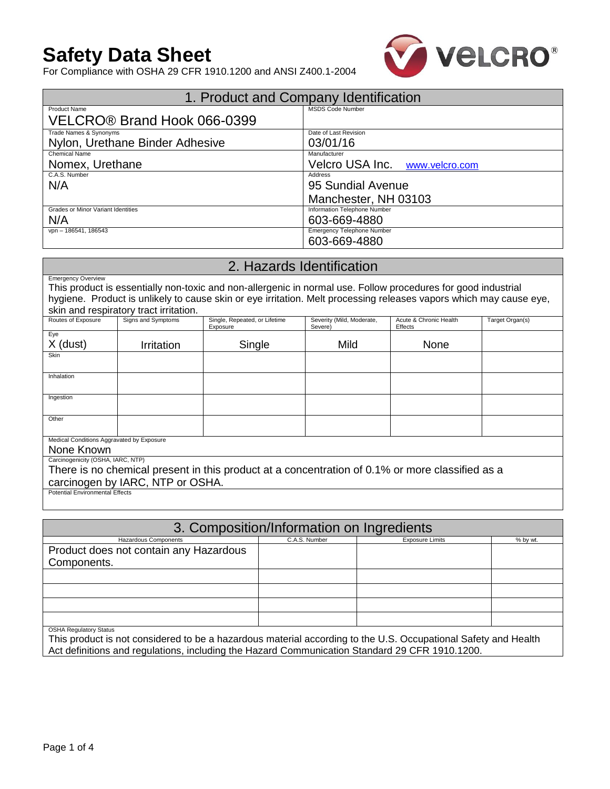# **Safety Data Sheet**



For Compliance with OSHA 29 CFR 1910.1200 and ANSI Z400.1-2004

| 1. Product and Company Identification |                                |  |  |  |
|---------------------------------------|--------------------------------|--|--|--|
| <b>Product Name</b>                   | <b>MSDS Code Number</b>        |  |  |  |
| VELCRO® Brand Hook 066-0399           |                                |  |  |  |
| Trade Names & Synonyms                | Date of Last Revision          |  |  |  |
| Nylon, Urethane Binder Adhesive       | 03/01/16                       |  |  |  |
| <b>Chemical Name</b>                  | Manufacturer                   |  |  |  |
| Nomex, Urethane                       | Velcro USA Inc. www.velcro.com |  |  |  |
| C.A.S. Number                         | Address                        |  |  |  |
| N/A                                   | 95 Sundial Avenue              |  |  |  |
|                                       | Manchester, NH 03103           |  |  |  |
| Grades or Minor Variant Identities    | Information Telephone Number   |  |  |  |
| N/A                                   | 603-669-4880                   |  |  |  |
| vpn - 186541, 186543                  | Emergency Telephone Number     |  |  |  |
|                                       | 603-669-4880                   |  |  |  |

### 2. Hazards Identification Emergency Overview This product is essentially non-toxic and non-allergenic in normal use. Follow procedures for good industrial hygiene. Product is unlikely to cause skin or eye irritation. Melt processing releases vapors which may cause eye, Skin and respiratory tract irritation.<br>Routes of Exposure | Signs and Symptoms Single, Repeated, or Lifetime Exposure Severity (Mild, Moderate, Severe) Acute & Chronic Health Effects Target Organ(s) Eye X (dust) Irritation Single Mild None Skin

| Inhalation                                                                                      |  |  |  |  |  |
|-------------------------------------------------------------------------------------------------|--|--|--|--|--|
|                                                                                                 |  |  |  |  |  |
| Ingestion                                                                                       |  |  |  |  |  |
|                                                                                                 |  |  |  |  |  |
| Other                                                                                           |  |  |  |  |  |
|                                                                                                 |  |  |  |  |  |
|                                                                                                 |  |  |  |  |  |
| Medical Conditions Aggravated by Exposure                                                       |  |  |  |  |  |
| None Known                                                                                      |  |  |  |  |  |
| Carcinogenicity (OSHA, IARC, NTP)                                                               |  |  |  |  |  |
| There is no chemical present in this product at a concentration of 0.1% or more classified as a |  |  |  |  |  |
| carcinogen by IARC, NTP or OSHA.                                                                |  |  |  |  |  |
| <b>Potential Environmental Effects</b>                                                          |  |  |  |  |  |

| 3. Composition/Information on Ingredients |               |                        |          |  |  |
|-------------------------------------------|---------------|------------------------|----------|--|--|
| Hazardous Components                      | C.A.S. Number | <b>Exposure Limits</b> | % by wt. |  |  |
| Product does not contain any Hazardous    |               |                        |          |  |  |
| Components.                               |               |                        |          |  |  |
|                                           |               |                        |          |  |  |
|                                           |               |                        |          |  |  |
|                                           |               |                        |          |  |  |
|                                           |               |                        |          |  |  |
| <b>OSHA Requlatory Status</b>             |               |                        |          |  |  |

This product is not considered to be a hazardous material according to the U.S. Occupational Safety and Health Act definitions and regulations, including the Hazard Communication Standard 29 CFR 1910.1200.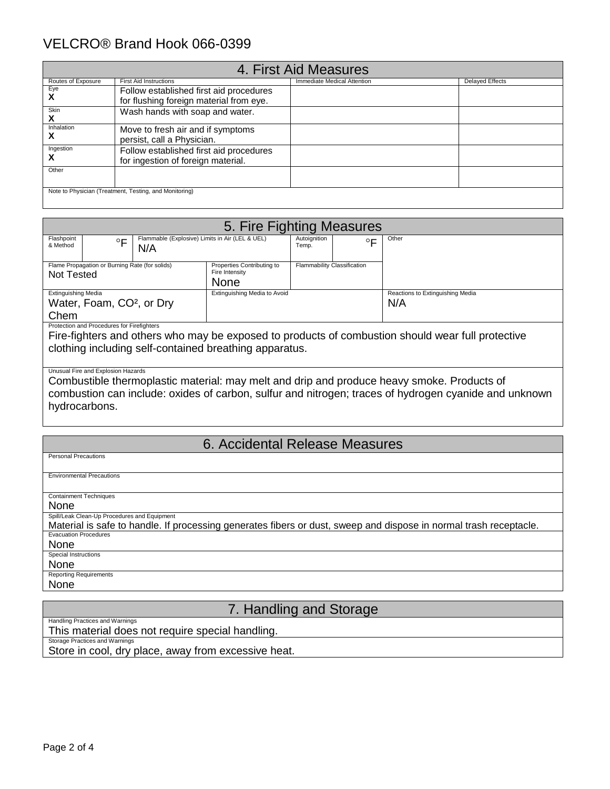## VELCRO® Brand Hook 066-0399

| 4. First Aid Measures |                                                        |                             |                        |  |
|-----------------------|--------------------------------------------------------|-----------------------------|------------------------|--|
| Routes of Exposure    | <b>First Aid Instructions</b>                          | Immediate Medical Attention | <b>Delayed Effects</b> |  |
| Eye                   | Follow established first aid procedures                |                             |                        |  |
| х                     | for flushing foreign material from eye.                |                             |                        |  |
| Skin<br>л             | Wash hands with soap and water.                        |                             |                        |  |
| Inhalation            | Move to fresh air and if symptoms                      |                             |                        |  |
| ⋏                     | persist, call a Physician.                             |                             |                        |  |
| Ingestion             | Follow established first aid procedures                |                             |                        |  |
|                       | for ingestion of foreign material.                     |                             |                        |  |
| Other                 |                                                        |                             |                        |  |
|                       |                                                        |                             |                        |  |
|                       | Note to Physician (Treatment, Testing, and Monitoring) |                             |                        |  |

| 5. Fire Fighting Measures                  |                                                |                                                        |                                                      |                             |                                         |
|--------------------------------------------|------------------------------------------------|--------------------------------------------------------|------------------------------------------------------|-----------------------------|-----------------------------------------|
| Flashpoint<br>& Method                     | $\circ$                                        | Flammable (Explosive) Limits in Air (LEL & UEL)<br>N/A | Autoignition<br>$\circ$<br>Temp.                     |                             | Other                                   |
| Not Tested                                 | Flame Propagation or Burning Rate (for solids) |                                                        | Properties Contributing to<br>Fire Intensity<br>None | Flammability Classification |                                         |
| <b>Extinguishing Media</b>                 | Water, Foam, CO <sup>2</sup> , or Dry          |                                                        | Extinguishing Media to Avoid                         |                             | Reactions to Extinguishing Media<br>N/A |
| Chem                                       |                                                |                                                        |                                                      |                             |                                         |
| Protection and Procedures for Firefighters |                                                |                                                        |                                                      |                             |                                         |

Fire-fighters and others who may be exposed to products of combustion should wear full protective clothing including self-contained breathing apparatus.

### Unusual Fire and Explosion Hazards

Combustible thermoplastic material: may melt and drip and produce heavy smoke. Products of combustion can include: oxides of carbon, sulfur and nitrogen; traces of hydrogen cyanide and unknown hydrocarbons.

### 6. Accidental Release Measures

| <b>Environmental Precautions</b>                                                                                  |
|-------------------------------------------------------------------------------------------------------------------|
|                                                                                                                   |
| <b>Containment Techniques</b>                                                                                     |
| None                                                                                                              |
| Spill/Leak Clean-Up Procedures and Equipment                                                                      |
| Material is safe to handle. If processing generates fibers or dust, sweep and dispose in normal trash receptacle. |
| <b>Evacuation Procedures</b>                                                                                      |
| None                                                                                                              |
| Special Instructions                                                                                              |
| None                                                                                                              |
| <b>Reporting Requirements</b>                                                                                     |
| None                                                                                                              |

### 7. Handling and Storage

Handling Practices and Warnings This material does not require special handling.

Storage Practices and Warnings

Store in cool, dry place, away from excessive heat.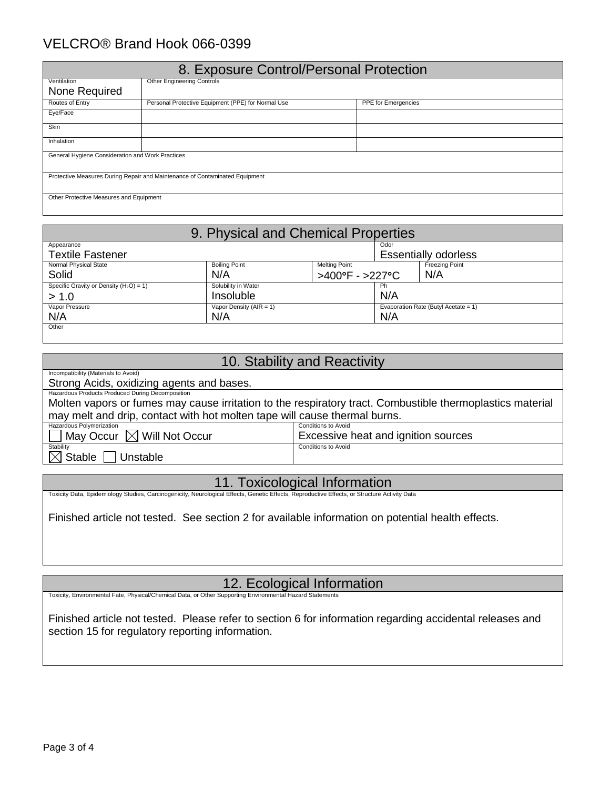### VELCRO® Brand Hook 066-0399

| 8. Exposure Control/Personal Protection                                     |                                                    |                            |  |  |
|-----------------------------------------------------------------------------|----------------------------------------------------|----------------------------|--|--|
| Ventilation                                                                 | <b>Other Engineering Controls</b>                  |                            |  |  |
| None Required                                                               |                                                    |                            |  |  |
| Routes of Entry                                                             | Personal Protective Equipment (PPE) for Normal Use | <b>PPE</b> for Emergencies |  |  |
| Eye/Face                                                                    |                                                    |                            |  |  |
| Skin                                                                        |                                                    |                            |  |  |
| Inhalation                                                                  |                                                    |                            |  |  |
| General Hygiene Consideration and Work Practices                            |                                                    |                            |  |  |
| Protective Measures During Repair and Maintenance of Contaminated Equipment |                                                    |                            |  |  |
| Other Protective Measures and Equipment                                     |                                                    |                            |  |  |

| 9. Physical and Chemical Properties                    |                                                                       |                        |     |                                      |
|--------------------------------------------------------|-----------------------------------------------------------------------|------------------------|-----|--------------------------------------|
| Odor<br>Appearance                                     |                                                                       |                        |     |                                      |
| <b>Textile Fastener</b><br><b>Essentially odorless</b> |                                                                       |                        |     |                                      |
| Normal Physical State                                  | <b>Boiling Point</b><br><b>Melting Point</b><br><b>Freezing Point</b> |                        |     |                                      |
| Solid                                                  | N/A                                                                   | N/A<br>>400°F - >227°C |     |                                      |
| Specific Gravity or Density $(H_2O) = 1$ )             | Solubility in Water                                                   |                        | Ph  |                                      |
| > 1.0                                                  | Insoluble                                                             |                        | N/A |                                      |
| Vapor Pressure                                         | Vapor Density ( $AIR = 1$ )                                           |                        |     | Evaporation Rate (Butyl Acetate = 1) |
| N/A                                                    | N/A                                                                   |                        | N/A |                                      |
| Other                                                  |                                                                       |                        |     |                                      |

| 10. Stability and Reactivity                                                                              |                                     |  |  |
|-----------------------------------------------------------------------------------------------------------|-------------------------------------|--|--|
| Incompatibility (Materials to Avoid)                                                                      |                                     |  |  |
| Strong Acids, oxidizing agents and bases.                                                                 |                                     |  |  |
| Hazardous Products Produced During Decomposition                                                          |                                     |  |  |
| Molten vapors or fumes may cause irritation to the respiratory tract. Combustible thermoplastics material |                                     |  |  |
| may melt and drip, contact with hot molten tape will cause thermal burns.                                 |                                     |  |  |
| Hazardous Polymerization                                                                                  | <b>Conditions to Avoid</b>          |  |  |
| $\Box$ May Occur $\boxtimes$ Will Not Occur                                                               | Excessive heat and ignition sources |  |  |
| Stability                                                                                                 | <b>Conditions to Avoid</b>          |  |  |
| $\boxtimes$ Stable $\,[$<br>Unstable                                                                      |                                     |  |  |

Toxicity Data, Epidemiology Studies, Carcinogenicity, Neurological Effects, Genetic Effects, Reproductive Effects, or Structure Activity Data

Finished article not tested. See section 2 for available information on potential health effects.

12. Ecological Information

Toxicity, Environmental Fate, Physical/Chemical Data, or Other Supporting Environmental

Finished article not tested. Please refer to section 6 for information regarding accidental releases and section 15 for regulatory reporting information.